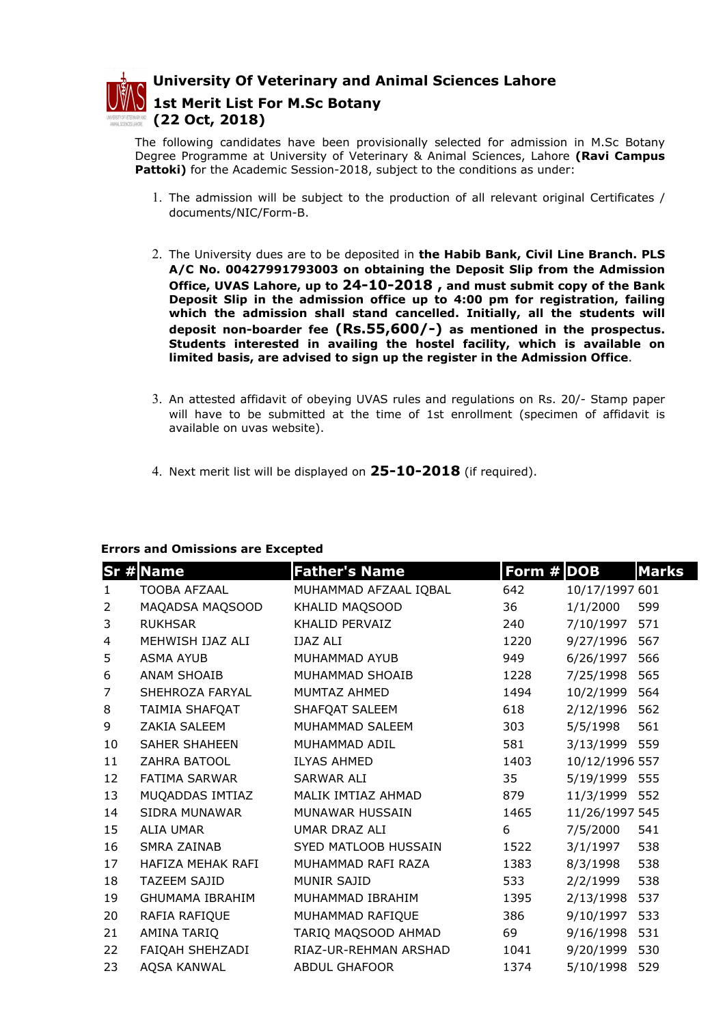

University Of Veterinary and Animal Sciences Lahore

1st Merit List For M.Sc Botany (22 Oct, 2018)

The following candidates have been provisionally selected for admission in M.Sc Botany Degree Programme at University of Veterinary & Animal Sciences, Lahore (Ravi Campus Pattoki) for the Academic Session-2018, subject to the conditions as under:

- 1. The admission will be subject to the production of all relevant original Certificates / documents/NIC/Form-B.
- 2. The University dues are to be deposited in the Habib Bank, Civil Line Branch. PLS A/C No. 00427991793003 on obtaining the Deposit Slip from the Admission Office, UVAS Lahore, up to 24-10-2018 , and must submit copy of the Bank Deposit Slip in the admission office up to 4:00 pm for registration, failing which the admission shall stand cancelled. Initially, all the students will deposit non-boarder fee (Rs.55,600/-) as mentioned in the prospectus. Students interested in availing the hostel facility, which is available on limited basis, are advised to sign up the register in the Admission Office.
- 3. An attested affidavit of obeying UVAS rules and regulations on Rs. 20/- Stamp paper will have to be submitted at the time of 1st enrollment (specimen of affidavit is available on uvas website).
- 4. Next merit list will be displayed on  $25-10-2018$  (if required).

## Errors and Omissions are Excepted

|                | <b>Sr # Name</b>       | <b>Father's Name</b>  | Form # DOB |                | <b>Marks</b> |
|----------------|------------------------|-----------------------|------------|----------------|--------------|
| $\mathbf{1}$   | <b>TOOBA AFZAAL</b>    | MUHAMMAD AFZAAL IQBAL | 642        | 10/17/1997 601 |              |
| 2              | MAQADSA MAQSOOD        | KHALID MAQSOOD        | 36         | 1/1/2000       | 599          |
| 3              | <b>RUKHSAR</b>         | KHALID PERVAIZ        | 240        | 7/10/1997      | 571          |
| 4              | MEHWISH IJAZ ALI       | <b>IJAZ ALI</b>       | 1220       | 9/27/1996      | 567          |
| 5              | ASMA AYUB              | MUHAMMAD AYUB         | 949        | 6/26/1997      | 566          |
| 6              | ANAM SHOAIB            | MUHAMMAD SHOAIB       | 1228       | 7/25/1998      | 565          |
| $\overline{7}$ | SHEHROZA FARYAL        | MUMTAZ AHMED          | 1494       | 10/2/1999      | 564          |
| 8              | TAIMIA SHAFQAT         | SHAFQAT SALEEM        | 618        | 2/12/1996      | 562          |
| 9              | ZAKIA SALEEM           | MUHAMMAD SALEEM       | 303        | 5/5/1998       | 561          |
| 10             | SAHER SHAHEEN          | MUHAMMAD ADIL         | 581        | 3/13/1999 559  |              |
| 11             | ZAHRA BATOOL           | <b>ILYAS AHMED</b>    | 1403       | 10/12/1996 557 |              |
| 12             | FATIMA SARWAR          | SARWAR ALI            | 35         | 5/19/1999 555  |              |
| 13             | MUQADDAS IMTIAZ        | MALIK IMTIAZ AHMAD    | 879        | 11/3/1999 552  |              |
| 14             | <b>SIDRA MUNAWAR</b>   | MUNAWAR HUSSAIN       | 1465       | 11/26/1997 545 |              |
| 15             | <b>ALIA UMAR</b>       | UMAR DRAZ ALI         | 6          | 7/5/2000       | 541          |
| 16             | SMRA ZAINAB            | SYED MATLOOB HUSSAIN  | 1522       | 3/1/1997       | 538          |
| 17             | HAFIZA MEHAK RAFI      | MUHAMMAD RAFI RAZA    | 1383       | 8/3/1998       | 538          |
| 18             | <b>TAZEEM SAJID</b>    | <b>MUNIR SAJID</b>    | 533        | 2/2/1999       | 538          |
| 19             | <b>GHUMAMA IBRAHIM</b> | MUHAMMAD IBRAHIM      | 1395       | 2/13/1998      | 537          |
| 20             | RAFIA RAFIQUE          | MUHAMMAD RAFIQUE      | 386        | 9/10/1997      | 533          |
| 21             | AMINA TARIQ            | TARIQ MAQSOOD AHMAD   | 69         | 9/16/1998      | 531          |
| 22             | FAIQAH SHEHZADI        | RIAZ-UR-REHMAN ARSHAD | 1041       | 9/20/1999      | 530          |
| 23             | <b>AOSA KANWAL</b>     | <b>ABDUL GHAFOOR</b>  | 1374       | 5/10/1998      | 529          |